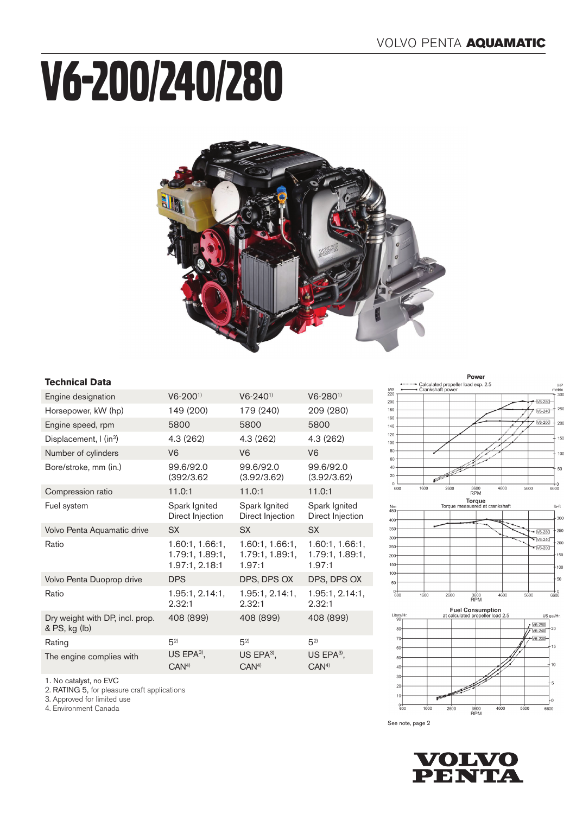# V6-200/240/280



### **Technical Data**

| Engine designation                               | $V6-2001$                                            | $V6 - 240$ <sup>1)</sup>                      | $V6-280^{1}$                                  |
|--------------------------------------------------|------------------------------------------------------|-----------------------------------------------|-----------------------------------------------|
| Horsepower, kW (hp)                              | 149 (200)                                            | 179 (240)                                     | 209 (280)                                     |
| Engine speed, rpm                                | 5800                                                 | 5800                                          | 5800                                          |
| Displacement, I (in <sup>3</sup> )               | 4.3 (262)                                            | 4.3 (262)                                     | 4.3(262)                                      |
| Number of cylinders                              | V <sub>6</sub>                                       | V <sub>6</sub>                                | V <sub>6</sub>                                |
| Bore/stroke, mm (in.)                            | 99.6/92.0<br>(392/3.62)                              | 99.6/92.0<br>(3.92/3.62)                      | 99.6/92.0<br>(3.92/3.62)                      |
| Compression ratio                                | 11.0:1                                               | 11.0:1                                        | 11.0:1                                        |
| Fuel system                                      | Spark Ignited<br>Direct Injection                    | Spark Ignited<br>Direct Injection             | Spark Ignited<br>Direct Injection             |
| Volvo Penta Aquamatic drive                      | SX.                                                  | <b>SX</b>                                     | <b>SX</b>                                     |
| Ratio                                            | 1.60:1, 1.66:1,<br>1.79:1, 1.89:1,<br>1.97:1, 2.18:1 | 1.60:1, 1.66:1,<br>1.79:1, 1.89:1,<br>1.97:1  | 1.60:1, 1.66:1,<br>1.79:1, 1.89:1,<br>1.97:1  |
| Volvo Penta Duoprop drive                        | <b>DPS</b>                                           | DPS, DPS OX                                   | DPS, DPS OX                                   |
| Ratio                                            | 1.95:1, 2.14:1,<br>2.32:1                            | 1.95:1, 2.14:1,<br>2.32:1                     | 1.95:1, 2.14:1,<br>2.32:1                     |
| Dry weight with DP, incl. prop.<br>& PS, kg (lb) | 408 (899)                                            | 408 (899)                                     | 408 (899)                                     |
| Rating                                           | $5^{2}$                                              | $5^{2}$                                       | $5^{2}$                                       |
| The engine complies with                         | US EPA $3$ ,<br>CAN <sup>4</sup>                     | US EPA $3$ <sup>1</sup> ,<br>CAN <sup>4</sup> | US EPA $3$ <sup>1</sup> ,<br>CAN <sup>4</sup> |
|                                                  |                                                      |                                               |                                               |









See note, page 2



1. No catalyst, no EVC

2. RATING 5, for pleasure craft applications

3. Approved for limited use

4. Environment Canada